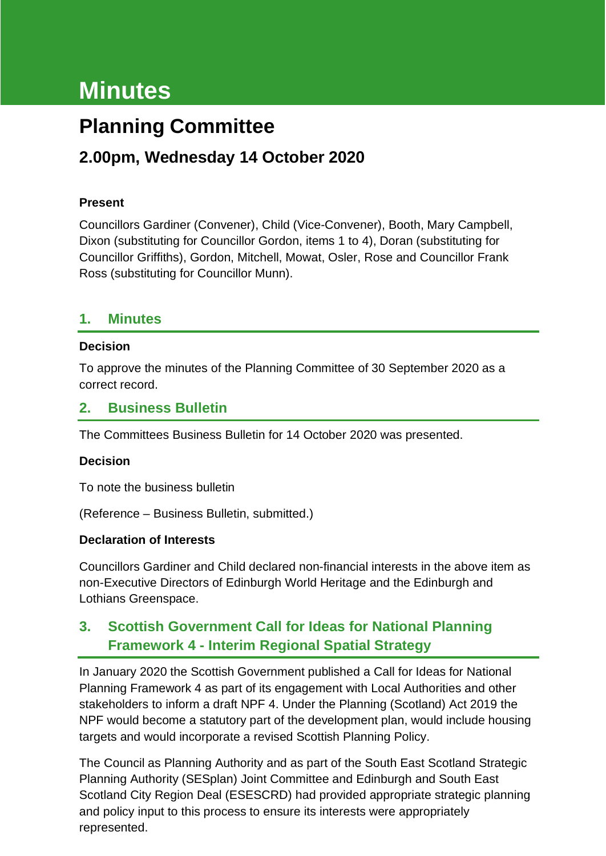# **Minutes**

# **Planning Committee**

# **2.00pm, Wednesday 14 October 2020**

#### **Present**

Councillors Gardiner (Convener), Child (Vice-Convener), Booth, Mary Campbell, Dixon (substituting for Councillor Gordon, items 1 to 4), Doran (substituting for Councillor Griffiths), Gordon, Mitchell, Mowat, Osler, Rose and Councillor Frank Ross (substituting for Councillor Munn).

#### **1. Minutes**

#### **Decision**

To approve the minutes of the Planning Committee of 30 September 2020 as a correct record.

#### **2. Business Bulletin**

The Committees Business Bulletin for 14 October 2020 was presented.

#### **Decision**

To note the business bulletin

(Reference – Business Bulletin, submitted.)

#### **Declaration of Interests**

Councillors Gardiner and Child declared non-financial interests in the above item as non-Executive Directors of Edinburgh World Heritage and the Edinburgh and Lothians Greenspace.

# **3. Scottish Government Call for Ideas for National Planning Framework 4 - Interim Regional Spatial Strategy**

In January 2020 the Scottish Government published a Call for Ideas for National Planning Framework 4 as part of its engagement with Local Authorities and other stakeholders to inform a draft NPF 4. Under the Planning (Scotland) Act 2019 the NPF would become a statutory part of the development plan, would include housing targets and would incorporate a revised Scottish Planning Policy.

The Council as Planning Authority and as part of the South East Scotland Strategic Planning Authority (SESplan) Joint Committee and Edinburgh and South East Scotland City Region Deal (ESESCRD) had provided appropriate strategic planning and policy input to this process to ensure its interests were appropriately represented.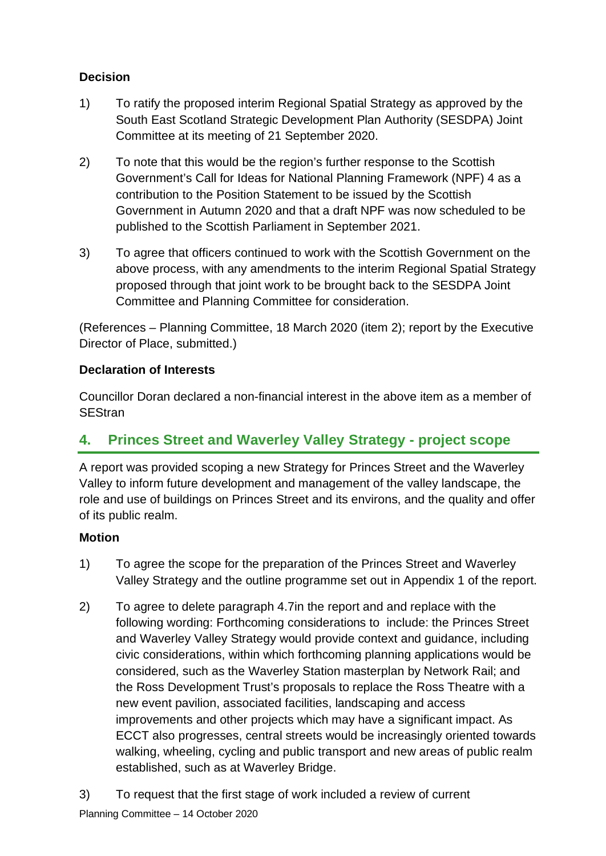#### **Decision**

- 1) To ratify the proposed interim Regional Spatial Strategy as approved by the South East Scotland Strategic Development Plan Authority (SESDPA) Joint Committee at its meeting of 21 September 2020.
- 2) To note that this would be the region's further response to the Scottish Government's Call for Ideas for National Planning Framework (NPF) 4 as a contribution to the Position Statement to be issued by the Scottish Government in Autumn 2020 and that a draft NPF was now scheduled to be published to the Scottish Parliament in September 2021.
- 3) To agree that officers continued to work with the Scottish Government on the above process, with any amendments to the interim Regional Spatial Strategy proposed through that joint work to be brought back to the SESDPA Joint Committee and Planning Committee for consideration.

(References – Planning Committee, 18 March 2020 (item 2); report by the Executive Director of Place, submitted.)

#### **Declaration of Interests**

Councillor Doran declared a non-financial interest in the above item as a member of **SEStran** 

### **4. Princes Street and Waverley Valley Strategy - project scope**

A report was provided scoping a new Strategy for Princes Street and the Waverley Valley to inform future development and management of the valley landscape, the role and use of buildings on Princes Street and its environs, and the quality and offer of its public realm.

#### **Motion**

- 1) To agree the scope for the preparation of the Princes Street and Waverley Valley Strategy and the outline programme set out in Appendix 1 of the report.
- 2) To agree to delete paragraph 4.7in the report and and replace with the following wording: Forthcoming considerations to include: the Princes Street and Waverley Valley Strategy would provide context and guidance, including civic considerations, within which forthcoming planning applications would be considered, such as the Waverley Station masterplan by Network Rail; and the Ross Development Trust's proposals to replace the Ross Theatre with a new event pavilion, associated facilities, landscaping and access improvements and other projects which may have a significant impact. As ECCT also progresses, central streets would be increasingly oriented towards walking, wheeling, cycling and public transport and new areas of public realm established, such as at Waverley Bridge.
- 3) To request that the first stage of work included a review of current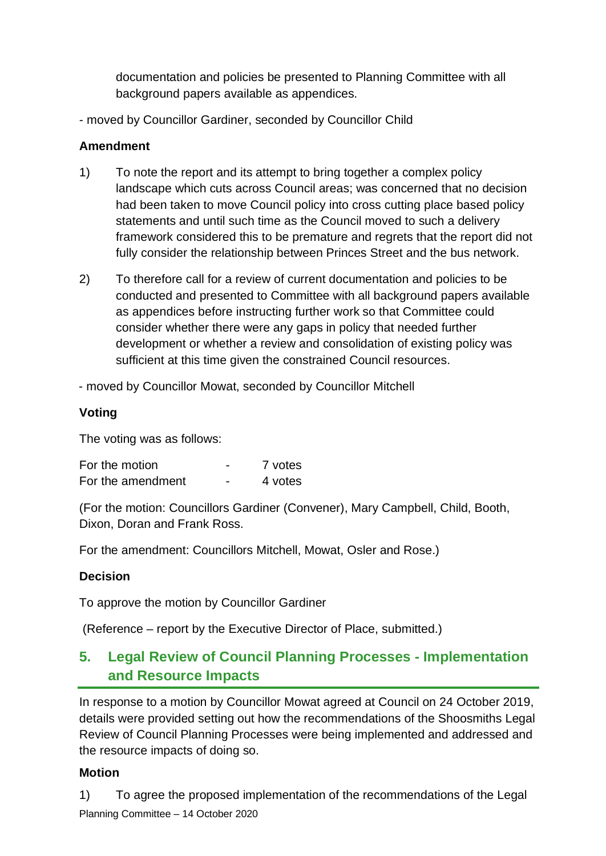documentation and policies be presented to Planning Committee with all background papers available as appendices.

- moved by Councillor Gardiner, seconded by Councillor Child

#### **Amendment**

- 1) To note the report and its attempt to bring together a complex policy landscape which cuts across Council areas; was concerned that no decision had been taken to move Council policy into cross cutting place based policy statements and until such time as the Council moved to such a delivery framework considered this to be premature and regrets that the report did not fully consider the relationship between Princes Street and the bus network.
- 2) To therefore call for a review of current documentation and policies to be conducted and presented to Committee with all background papers available as appendices before instructing further work so that Committee could consider whether there were any gaps in policy that needed further development or whether a review and consolidation of existing policy was sufficient at this time given the constrained Council resources.

- moved by Councillor Mowat, seconded by Councillor Mitchell

#### **Voting**

The voting was as follows:

| For the motion    | -                        | 7 votes |
|-------------------|--------------------------|---------|
| For the amendment | $\overline{\phantom{0}}$ | 4 votes |

(For the motion: Councillors Gardiner (Convener), Mary Campbell, Child, Booth, Dixon, Doran and Frank Ross.

For the amendment: Councillors Mitchell, Mowat, Osler and Rose.)

#### **Decision**

To approve the motion by Councillor Gardiner

(Reference – report by the Executive Director of Place, submitted.)

# **5. Legal Review of Council Planning Processes - Implementation and Resource Impacts**

In response to a motion by Councillor Mowat agreed at Council on 24 October 2019, details were provided setting out how the recommendations of the Shoosmiths Legal Review of Council Planning Processes were being implemented and addressed and the resource impacts of doing so.

#### **Motion**

Planning Committee – 14 October 2020 1) To agree the proposed implementation of the recommendations of the Legal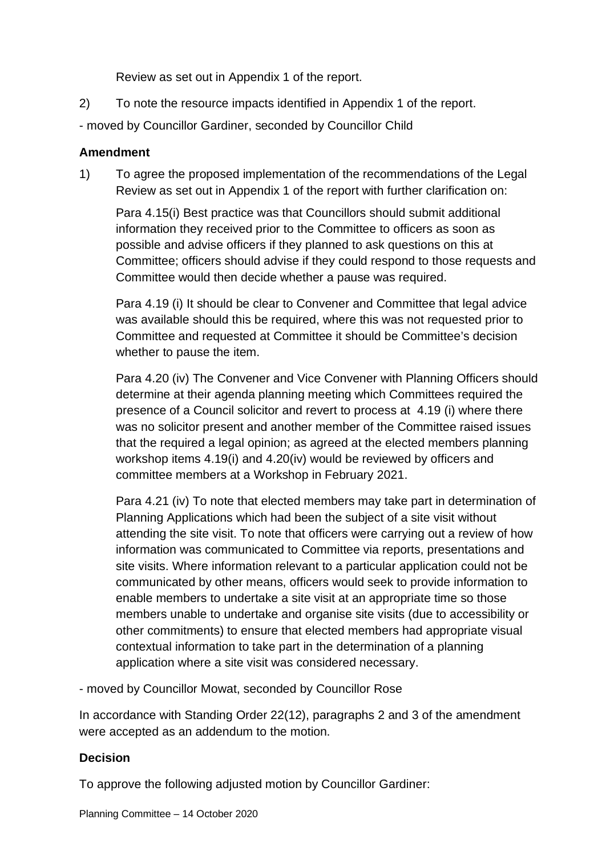Review as set out in Appendix 1 of the report.

- 2) To note the resource impacts identified in Appendix 1 of the report.
- moved by Councillor Gardiner, seconded by Councillor Child

#### **Amendment**

1) To agree the proposed implementation of the recommendations of the Legal Review as set out in Appendix 1 of the report with further clarification on:

Para 4.15(i) Best practice was that Councillors should submit additional information they received prior to the Committee to officers as soon as possible and advise officers if they planned to ask questions on this at Committee; officers should advise if they could respond to those requests and Committee would then decide whether a pause was required.

Para 4.19 (i) It should be clear to Convener and Committee that legal advice was available should this be required, where this was not requested prior to Committee and requested at Committee it should be Committee's decision whether to pause the item.

Para 4.20 (iv) The Convener and Vice Convener with Planning Officers should determine at their agenda planning meeting which Committees required the presence of a Council solicitor and revert to process at 4.19 (i) where there was no solicitor present and another member of the Committee raised issues that the required a legal opinion; as agreed at the elected members planning workshop items 4.19(i) and 4.20(iv) would be reviewed by officers and committee members at a Workshop in February 2021.

Para 4.21 (iv) To note that elected members may take part in determination of Planning Applications which had been the subject of a site visit without attending the site visit. To note that officers were carrying out a review of how information was communicated to Committee via reports, presentations and site visits. Where information relevant to a particular application could not be communicated by other means, officers would seek to provide information to enable members to undertake a site visit at an appropriate time so those members unable to undertake and organise site visits (due to accessibility or other commitments) to ensure that elected members had appropriate visual contextual information to take part in the determination of a planning application where a site visit was considered necessary.

- moved by Councillor Mowat, seconded by Councillor Rose

In accordance with Standing Order 22(12), paragraphs 2 and 3 of the amendment were accepted as an addendum to the motion.

#### **Decision**

To approve the following adjusted motion by Councillor Gardiner: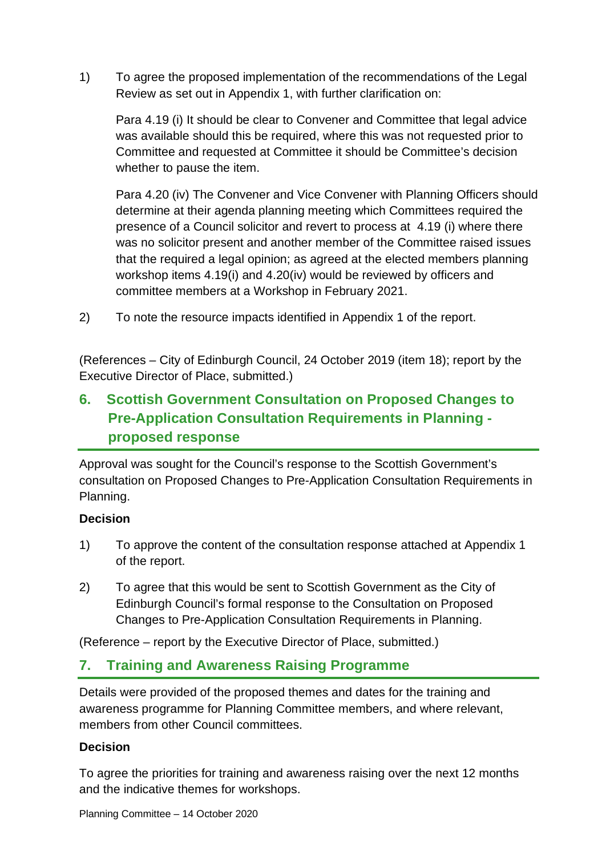1) To agree the proposed implementation of the recommendations of the Legal Review as set out in Appendix 1, with further clarification on:

Para 4.19 (i) It should be clear to Convener and Committee that legal advice was available should this be required, where this was not requested prior to Committee and requested at Committee it should be Committee's decision whether to pause the item.

Para 4.20 (iv) The Convener and Vice Convener with Planning Officers should determine at their agenda planning meeting which Committees required the presence of a Council solicitor and revert to process at 4.19 (i) where there was no solicitor present and another member of the Committee raised issues that the required a legal opinion; as agreed at the elected members planning workshop items 4.19(i) and 4.20(iv) would be reviewed by officers and committee members at a Workshop in February 2021.

2) To note the resource impacts identified in Appendix 1 of the report.

(References – City of Edinburgh Council, 24 October 2019 (item 18); report by the Executive Director of Place, submitted.)

# **6. Scottish Government Consultation on Proposed Changes to Pre-Application Consultation Requirements in Planning proposed response**

Approval was sought for the Council's response to the Scottish Government's consultation on Proposed Changes to Pre-Application Consultation Requirements in Planning.

#### **Decision**

- 1) To approve the content of the consultation response attached at Appendix 1 of the report.
- 2) To agree that this would be sent to Scottish Government as the City of Edinburgh Council's formal response to the Consultation on Proposed Changes to Pre-Application Consultation Requirements in Planning.

(Reference – report by the Executive Director of Place, submitted.)

# **7. Training and Awareness Raising Programme**

Details were provided of the proposed themes and dates for the training and awareness programme for Planning Committee members, and where relevant, members from other Council committees.

#### **Decision**

To agree the priorities for training and awareness raising over the next 12 months and the indicative themes for workshops.